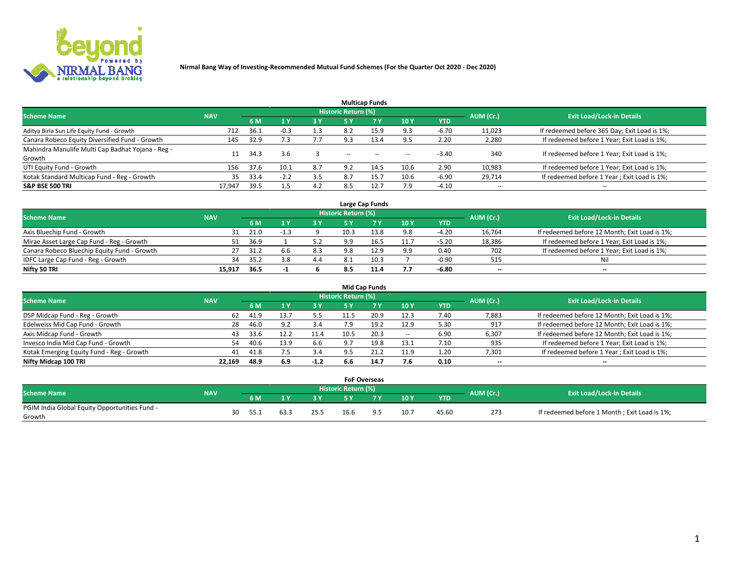

|                                                   |            |      |        |           |                            | <b>Multicap Funds</b> |        |         |                          |                                              |
|---------------------------------------------------|------------|------|--------|-----------|----------------------------|-----------------------|--------|---------|--------------------------|----------------------------------------------|
| <b>Scheme Name</b>                                | <b>NAV</b> |      |        |           | <b>Historic Return (%)</b> |                       |        |         | AUM (Cr.)                | <b>Exit Load/Lock-in Details</b>             |
|                                                   |            | 6 M  | 1 Y    | <b>3Y</b> | 5 Y                        | 7Y                    | 10Y    | YTD     |                          |                                              |
| Aditya Birla Sun Life Equity Fund - Growth        | 712        | 36.1 | $-0.3$ | 1.3       | 8.2                        | 15.9                  | 9.3    | $-6.70$ | 11,023                   | If redeemed before 365 Day; Exit Load is 1%; |
| Canara Robeco Equity Diversified Fund - Growth    | 145        | 32.9 |        |           | 9.3                        | 13.4                  | 9.5    | 2.20    | 2,280                    | If redeemed before 1 Year; Exit Load is 1%;  |
| Mahindra Manulife Multi Cap Badhat Yojana - Reg - |            | 34.3 | 3.6    |           | $-$                        | $\sim$                | $\sim$ | $-3.40$ | 340                      | If redeemed before 1 Year; Exit Load is 1%;  |
| Growth                                            |            |      |        |           |                            |                       |        |         |                          |                                              |
| UTI Equity Fund - Growth                          | 156        | 37.6 | 10.1   | 8.7       | 9.2                        | 14.5                  | 10.6   | 2.90    | 10,983                   | If redeemed before 1 Year; Exit Load is 1%;  |
| Kotak Standard Multicap Fund - Reg - Growth       | 35         | 33.4 |        | 3.5       | 8.7                        | 15.7                  | 10.6   | $-6.90$ | 29,714                   | If redeemed before 1 Year; Exit Load is 1%;  |
| <b>S&amp;P BSE 500 TRI</b>                        | 17.947     | 39.5 |        | 4.2       | 8.5                        |                       | 7.9    | $-4.10$ | $\overline{\phantom{a}}$ | $\overline{\phantom{a}}$                     |

|                                             |            |      |      |     |                     | Large Cap Funds |      |            |           |                                               |
|---------------------------------------------|------------|------|------|-----|---------------------|-----------------|------|------------|-----------|-----------------------------------------------|
| <b>Scheme Name</b>                          | <b>NAV</b> |      |      |     | Historic Return (%) |                 |      |            | AUM (Cr.) | <b>Exit Load/Lock-in Details</b>              |
|                                             |            | 6 M  |      | 3 Y | 5 ۷                 |                 | 10Y  | <b>YTD</b> |           |                                               |
| Axis Bluechip Fund - Growth                 | 31         | 21.0 |      |     | 10.3                | 13.8            | 9.8  | $-4.20$    | 16,764    | If redeemed before 12 Month; Exit Load is 1%; |
| Mirae Asset Large Cap Fund - Reg - Growth   | 51         | 36.9 |      |     | 9.9                 |                 | 11.7 | $-5.20$    | 18,386    | If redeemed before 1 Year; Exit Load is 1%;   |
| Canara Robeco Bluechip Equity Fund - Growth | 27         | 31.2 | .6.b | 8.3 | 9.8                 | 12.9            | 9.9  | 0.40       | 702       | If redeemed before 1 Year; Exit Load is 1%;   |
| IDFC Large Cap Fund - Reg - Growth          | 34         | 35.2 |      | 4.4 |                     |                 |      | $-0.90$    | 515       | Nil                                           |
| Nifty 50 TRI                                | 15.917     | 36.5 | - 1  |     | 8.5                 | 11.4            | 7.7  | -6.80      | $- -$     | $- -$                                         |

|                                           |            |      |      |        |                            | <b>Mid Cap Funds</b> |                   |      |           |                                               |
|-------------------------------------------|------------|------|------|--------|----------------------------|----------------------|-------------------|------|-----------|-----------------------------------------------|
| <b>Scheme Name</b>                        | <b>NAV</b> |      |      |        | <b>Historic Return (%)</b> |                      |                   |      | AUM (Cr.) | <b>Exit Load/Lock-in Details</b>              |
|                                           |            | 6 M  |      | 3 Y    | <b>5 Y</b>                 |                      | <b>10Y</b>        | YTD  |           |                                               |
| DSP Midcap Fund - Reg - Growth            | 62         | 41.9 | 13.7 | 5.5    |                            | 20.9                 | 12.3              | 7.40 | 7,883     | If redeemed before 12 Month; Exit Load is 1%; |
| Edelweiss Mid Cap Fund - Growth           | 28         | 46.0 | 9.2  | 3.4    | 7.9                        | 19.2                 | 12.9              | 5.30 | 917       | If redeemed before 12 Month; Exit Load is 1%; |
| Axis Midcap Fund - Growth                 | 43         | 33.6 | 12.2 | 11.4   | 10.5                       | 20.3                 | $\hspace{0.05cm}$ | 6.90 | 6,307     | If redeemed before 12 Month; Exit Load is 1%; |
| Invesco India Mid Cap Fund - Growth       | 54         | 40.6 | 13.9 | 6.6    |                            | 19.8                 | 13.1              | 7.10 | 935       | If redeemed before 1 Year; Exit Load is 1%;   |
| Kotak Emerging Equity Fund - Reg - Growth | 41         | 41.8 |      | 3.4    |                            | 21.2                 | 11.9              | 1.20 | 7,301     | If redeemed before 1 Year; Exit Load is 1%;   |
| Nifty Midcap 100 TRI                      | 22.169     | 48.9 | 6.9  | $-1.2$ | 6.6                        | 14.7                 | 7.6               | 0.10 | $- -$     | $\overline{\phantom{a}}$                      |

|                                               |            |            |      |      |                     | <b>FoF Overseas</b> |      |            |           |                                              |
|-----------------------------------------------|------------|------------|------|------|---------------------|---------------------|------|------------|-----------|----------------------------------------------|
| <b>Scheme Name</b>                            | <b>NAV</b> |            |      |      | Historic Return (%) |                     |      |            | AUM (Cr.) | <b>Exit Load/Lock-in Details</b>             |
|                                               |            | 6 M        |      |      | <b>EV</b>           | 7 <sub>2</sub>      | 10Y  | <b>YTD</b> |           |                                              |
| PGIM India Global Equity Opportunities Fund - |            | 30<br>55.1 | 63.3 |      | 16.6                | $\Omega$            | 10.7 | 45.60      | 273       | If redeemed before 1 Month; Exit Load is 1%; |
| Growth                                        |            |            |      | 25.5 |                     |                     |      |            |           |                                              |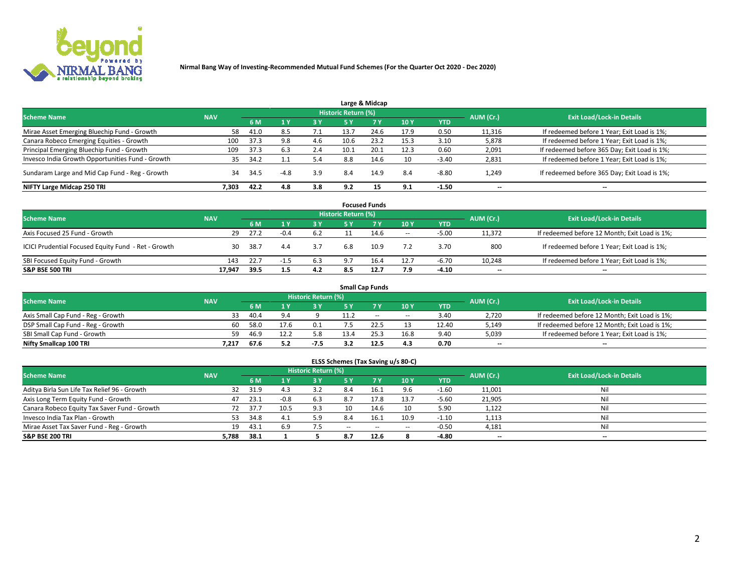

|                                                  |            |      |      |     |                            | Large & Midcap |      |            |                          |                                              |
|--------------------------------------------------|------------|------|------|-----|----------------------------|----------------|------|------------|--------------------------|----------------------------------------------|
| <b>Scheme Name</b>                               | <b>NAV</b> |      |      |     | <b>Historic Return (%)</b> |                |      |            | AUM (Cr.)                | <b>Exit Load/Lock-in Details</b>             |
|                                                  |            | 6 M  |      | 3 Y | 5 Y                        | 7Y             | 10Y  | <b>YTD</b> |                          |                                              |
| Mirae Asset Emerging Bluechip Fund - Growth      | 58         | 41.0 | 8.5  | 7.1 | 13.7                       | 24.6           | 17.9 | 0.50       | 11,316                   | If redeemed before 1 Year; Exit Load is 1%;  |
| Canara Robeco Emerging Equities - Growth         | 100        | 37.3 | 9.8  | 4.6 | 10.6                       | 23.2           | 15.3 | 3.10       | 5,878                    | If redeemed before 1 Year; Exit Load is 1%;  |
| Principal Emerging Bluechip Fund - Growth        | 109        | 37.3 | 6.3  | 2.4 | 10.1                       | 20.1           | 12.3 | 0.60       | 2,091                    | If redeemed before 365 Day; Exit Load is 1%; |
| Invesco India Growth Opportunities Fund - Growth | 35         | 34.2 |      | 5.4 | 8.8                        | 14.6           | 10   | $-3.40$    | 2,831                    | If redeemed before 1 Year; Exit Load is 1%;  |
| Sundaram Large and Mid Cap Fund - Reg - Growth   | 34         | 34.5 | -4.8 | 3.9 | 8.4                        | 14.9           | 8.4  | $-8.80$    | 1,249                    | If redeemed before 365 Day; Exit Load is 1%; |
| NIFTY Large Midcap 250 TRI                       | 7.303      | 42.2 | 4.8  | 3.8 | 9.2                        |                | 9.1  | $-1.50$    | $\overline{\phantom{a}}$ | --                                           |

|                                                     |            |      |        |           |                     | <b>Focused Funds</b> |                          |            |           |                                               |
|-----------------------------------------------------|------------|------|--------|-----------|---------------------|----------------------|--------------------------|------------|-----------|-----------------------------------------------|
| <b>Scheme Name</b>                                  | <b>NAV</b> |      |        |           | Historic Return (%) |                      |                          |            | AUM (Cr.) | <b>Exit Load/Lock-in Details</b>              |
|                                                     |            | 6 M  |        | <b>3Y</b> | 5 Y                 | 7V                   | 10Y                      | <b>YTD</b> |           |                                               |
| Axis Focused 25 Fund - Growth                       | 29         | 27.2 | $-0.4$ | 6.2       |                     | 14.6                 | $\overline{\phantom{a}}$ | $-5.00$    | 11.372    | If redeemed before 12 Month; Exit Load is 1%; |
| ICICI Prudential Focused Equity Fund - Ret - Growth | 30         | 38.7 | 4.4    | 3.7       | 6.8                 | 10.9                 | 7.2                      | 3.70       | 800       | If redeemed before 1 Year; Exit Load is 1%;   |
| SBI Focused Equity Fund - Growth                    | 143        | 22.7 | $-1.5$ | 6.3       | 9.7                 | 16.4                 | 12.7                     | $-6.70$    | 10,248    | If redeemed before 1 Year; Exit Load is 1%;   |
| <b>S&amp;P BSE 500 TRI</b>                          | 17.947     | 39.5 | 1.5    | 4.2       | 8.5                 | 12.7                 | 7.9                      | $-4.10$    | --        | $- -$                                         |

|                                    |            |      |      |                     |      | <b>Small Cap Funds</b> |                          |       |                          |                                               |
|------------------------------------|------------|------|------|---------------------|------|------------------------|--------------------------|-------|--------------------------|-----------------------------------------------|
| <b>Scheme Name</b>                 | <b>NAV</b> |      |      | Historic Return (%) |      |                        |                          |       | AUM (Cr.)                | <b>Exit Load/Lock-in Details</b>              |
|                                    |            | 6 M  |      | 3 Y.                | ςv   |                        | 10Y                      | YTD   |                          |                                               |
| Axis Small Cap Fund - Reg - Growth | 33         | 40.4 |      |                     | 11.2 | $- -$                  | $\overline{\phantom{a}}$ | 3.40  | 2,720                    | If redeemed before 12 Month; Exit Load is 1%; |
| DSP Small Cap Fund - Reg - Growth  | 60         | 58.0 | 17.6 | 0.1                 |      |                        |                          | 12.40 | 5,149                    | If redeemed before 12 Month; Exit Load is 1%; |
| SBI Small Cap Fund - Growth        | 59         | 46.9 | 12.4 | 5.8                 |      |                        | 16.8                     | 9.40  | 5,039                    | If redeemed before 1 Year; Exit Load is 1%;   |
| Nifty Smallcap 100 TRI             | 7.217      | 67.6 | 5.2  | $-7.5$              |      | 12.5                   | 4.3                      | 0.70  | $\overline{\phantom{a}}$ | $\overline{\phantom{a}}$                      |

| <b>Scheme Name</b>                           | <b>NAV</b> |      |        | Historic Return (%) |        |        |        |            | AUM (Cr.)                | <b>Exit Load/Lock-in Details</b> |
|----------------------------------------------|------------|------|--------|---------------------|--------|--------|--------|------------|--------------------------|----------------------------------|
|                                              |            | 6 M  |        | 3 Y                 |        | 7Y     | 10Y    | <b>YTD</b> |                          |                                  |
| Aditya Birla Sun Life Tax Relief 96 - Growth | 32         | 31.9 | 4.3    | 3.2                 | 8.4    | 16.1   | 9.6    | $-1.60$    | 11,001                   | Ni                               |
| Axis Long Term Equity Fund - Growth          | 47         | 23.1 | $-0.8$ | 6.3                 | 8.7    | 17.8   | 13.7   | $-5.60$    | 21,905                   | Ni                               |
| Canara Robeco Equity Tax Saver Fund - Growth |            | 37.7 | 10.5   | 9.3                 | 10     | 14.6   | 10     | 5.90       | 1,122                    | Ni                               |
| Invesco India Tax Plan - Growth              | 53         | 34.8 | - 4.   | 5.9                 | 8.4    | 16.1   | 10.9   | $-1.10$    | 1,113                    | Nil                              |
| Mirae Asset Tax Saver Fund - Reg - Growth    | 19         | 43.1 | 6.9    |                     | $\sim$ | $\sim$ | $\sim$ | $-0.50$    | 4,181                    | Ni                               |
| <b>S&amp;P BSE 200 TRI</b>                   | 5,788      | 38.1 |        |                     | 8.7    | 12.6   |        | $-4.80$    | $\overline{\phantom{a}}$ | $-$                              |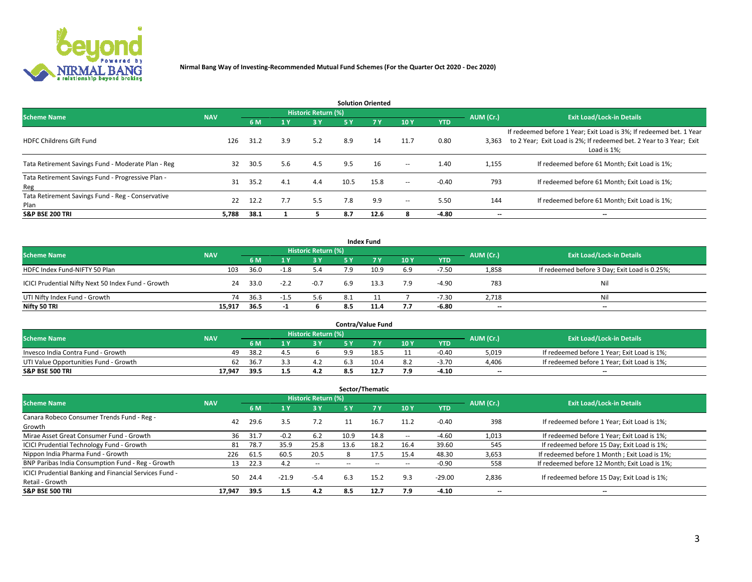

| <b>Solution Oriented</b>                                  |            |                              |     |                     |      |            |                          |            |                          |                                                                                                                                                           |  |  |
|-----------------------------------------------------------|------------|------------------------------|-----|---------------------|------|------------|--------------------------|------------|--------------------------|-----------------------------------------------------------------------------------------------------------------------------------------------------------|--|--|
| <b>Scheme Name</b>                                        | <b>NAV</b> |                              |     | Historic Return (%) |      |            |                          |            | AUM (Cr.)                | <b>Exit Load/Lock-in Details</b>                                                                                                                          |  |  |
|                                                           |            | 6 M<br>$\sqrt{1}$ $\sqrt{7}$ |     | 3 Y                 | 5 Y  | <b>7 Y</b> | 10Y                      | <b>YTD</b> |                          |                                                                                                                                                           |  |  |
| <b>HDFC Childrens Gift Fund</b>                           | 126        | 31.2                         | 3.9 | 5.2                 | 8.9  | 14         | 11.7                     | 0.80       | 3,363                    | If redeemed before 1 Year; Exit Load is 3%; If redeemed bet. 1 Year<br>to 2 Year; Exit Load is 2%; If redeemed bet. 2 Year to 3 Year; Exit<br>Load is 1%: |  |  |
| Tata Retirement Savings Fund - Moderate Plan - Reg        | 32         | 30.5                         | 5.6 | 4.5                 | 9.5  | 16         | $\overline{\phantom{a}}$ | 1.40       | 1,155                    | If redeemed before 61 Month; Exit Load is 1%;                                                                                                             |  |  |
| Tata Retirement Savings Fund - Progressive Plan -<br>Reg  | 31         | 35.2                         | 4.1 | 4.4                 | 10.5 | 15.8       | $\overline{\phantom{a}}$ | $-0.40$    | 793                      | If redeemed before 61 Month; Exit Load is 1%;                                                                                                             |  |  |
| Tata Retirement Savings Fund - Reg - Conservative<br>Plan | 22         | 12.2                         | 7.7 | 5.5                 | 7.8  | 9.9        | $\overline{\phantom{a}}$ | 5.50       | 144                      | If redeemed before 61 Month; Exit Load is 1%;                                                                                                             |  |  |
| <b>S&amp;P BSE 200 TRI</b>                                | 5,788      | 38.1                         |     |                     | 8.7  | 12.6       | 8                        | -4.80      | $\overline{\phantom{a}}$ | $\overline{\phantom{a}}$                                                                                                                                  |  |  |

|                                                    |            |      |        |                     |     | <b>Index Fund</b> |     |            |           |                                               |
|----------------------------------------------------|------------|------|--------|---------------------|-----|-------------------|-----|------------|-----------|-----------------------------------------------|
| <b>Scheme Name</b>                                 | <b>NAV</b> |      |        | Historic Return (%) |     |                   |     |            | AUM (Cr.) | <b>Exit Load/Lock-in Details</b>              |
|                                                    |            | 6 M  |        | <b>3Y</b>           | 5 Y | 7V                | 10Y | <b>YTD</b> |           |                                               |
| HDFC Index Fund-NIFTY 50 Plan                      | 103        | 36.0 | $-1.8$ | 5.4                 | 7 Q | 10.9              | 6.9 | $-7.50$    | 1,858     | If redeemed before 3 Day; Exit Load is 0.25%; |
| ICICI Prudential Nifty Next 50 Index Fund - Growth | 24         | 33.0 | $-2.2$ | $-0.7$              | 6.9 | 13.3              | 7.9 | $-4.90$    | 783       | Nil                                           |
| UTI Nifty Index Fund - Growth                      | 74         | 36.3 | -1.5   | 5.6                 | 8.1 |                   |     | $-7.30$    | 2,718     | Nil                                           |
| Nifty 50 TRI                                       | 15,917     | 36.5 | -1     |                     | 8.5 | 11.4              | 7.7 | -6.80      | $- -$     | $\overline{\phantom{a}}$                      |

| <b>Contra/Value Fund</b>              |            |       |  |                     |     |      |     |            |           |                                             |  |
|---------------------------------------|------------|-------|--|---------------------|-----|------|-----|------------|-----------|---------------------------------------------|--|
| <b>Scheme Name</b>                    | <b>NAV</b> |       |  | Historic Return (%) |     |      |     |            | AUM (Cr.) | <b>Exit Load/Lock-in Details</b>            |  |
|                                       |            | 6 M   |  | 3 Y                 |     | ע ל  | 10Y | <b>YTD</b> |           |                                             |  |
| Invesco India Contra Fund - Growth    | 49         | -38.2 |  |                     | a a | 18.5 |     | $-0.40$    | 5,019     | If redeemed before 1 Year; Exit Load is 1%; |  |
| UTI Value Opportunities Fund - Growth | 62         | 36.7  |  | $\sim$              |     | 10.4 | 8.2 | $-3.70$    | 4,406     | If redeemed before 1 Year; Exit Load is 1%; |  |
| <b>S&amp;P BSE 500 TRI</b>            | 17.947     | 39.5  |  | 4.2                 |     | 12.7 | 7.9 | $-4.10$    | $-$       | $-$                                         |  |

| Sector/Thematic                                        |            |      |         |                     |                          |        |                          |            |                          |                                               |  |  |  |
|--------------------------------------------------------|------------|------|---------|---------------------|--------------------------|--------|--------------------------|------------|--------------------------|-----------------------------------------------|--|--|--|
| <b>Scheme Name</b>                                     | <b>NAV</b> |      |         | Historic Return (%) |                          |        |                          |            | AUM (Cr.)                | <b>Exit Load/Lock-in Details</b>              |  |  |  |
|                                                        |            | 6 M  | 1 Y     | 3 Y                 | <b>5Y</b>                | 7 Y    | 10Y                      | <b>YTD</b> |                          |                                               |  |  |  |
| Canara Robeco Consumer Trends Fund - Reg -             | 42         | 29.6 | 3.5     |                     |                          |        |                          | $-0.40$    | 398                      |                                               |  |  |  |
| Growth                                                 |            |      |         | 7.2                 | 11                       | 16.7   | 11.2                     |            |                          | If redeemed before 1 Year; Exit Load is 1%;   |  |  |  |
| Mirae Asset Great Consumer Fund - Growth               | 36         | 31.7 | $-0.2$  | 6.2                 | 10.9                     | 14.8   | $\!-$                    | $-4.60$    | 1,013                    | If redeemed before 1 Year; Exit Load is 1%;   |  |  |  |
| ICICI Prudential Technology Fund - Growth              | 81         | 78.7 | 35.9    | 25.8                | 13.6                     | 18.2   | 16.4                     | 39.60      | 545                      | If redeemed before 15 Day; Exit Load is 1%;   |  |  |  |
| Nippon India Pharma Fund - Growth                      | 226        | 61.5 | 60.5    | 20.5                |                          | 17.5   | 15.4                     | 48.30      | 3,653                    | If redeemed before 1 Month; Exit Load is 1%;  |  |  |  |
| BNP Paribas India Consumption Fund - Reg - Growth      | 13         | 22.3 | 4.2     | $\sim$              | $\overline{\phantom{a}}$ | $\sim$ | $\overline{\phantom{a}}$ | $-0.90$    | 558                      | If redeemed before 12 Month; Exit Load is 1%; |  |  |  |
| ICICI Prudential Banking and Financial Services Fund - | 50         | 24.4 | $-21.9$ | $-5.4$              | 6.3                      | 15.2   | 9.3                      | $-29.00$   | 2,836                    | If redeemed before 15 Day; Exit Load is 1%;   |  |  |  |
| Retail - Growth                                        |            |      |         |                     |                          |        |                          |            |                          |                                               |  |  |  |
| <b>S&amp;P BSE 500 TRI</b>                             | 17.947     | 39.5 | 1.5     | 4.2                 | 8.5                      | 12.7   | 7.9                      | -4.10      | $\overline{\phantom{a}}$ | --                                            |  |  |  |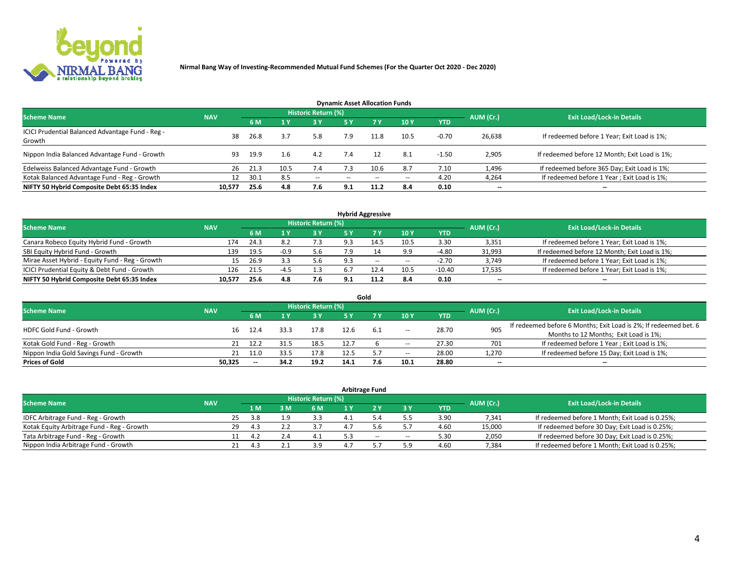

| <b>Dynamic Asset Allocation Funds</b>                      |            |      |      |                     |               |           |       |            |           |                                               |  |  |  |  |
|------------------------------------------------------------|------------|------|------|---------------------|---------------|-----------|-------|------------|-----------|-----------------------------------------------|--|--|--|--|
| <b>Scheme Name</b>                                         | <b>NAV</b> |      |      | Historic Return (%) |               |           |       |            | AUM (Cr.) | <b>Exit Load/Lock-in Details</b>              |  |  |  |  |
|                                                            |            | 6 M  |      | 3 Y                 | <b>5Y</b>     | <b>7Y</b> | 10Y   | <b>YTD</b> |           |                                               |  |  |  |  |
| ICICI Prudential Balanced Advantage Fund - Reg -<br>Growth | 38         | 26.8 | 3.7  | 5.8                 | 7.9           |           | 10.5  | $-0.70$    | 26,638    | If redeemed before 1 Year; Exit Load is 1%;   |  |  |  |  |
| Nippon India Balanced Advantage Fund - Growth              | 93         | 19.9 | 1.6  | 4.2                 | 7.4           | 12        | 8.1   | $-1.50$    | 2,905     | If redeemed before 12 Month; Exit Load is 1%; |  |  |  |  |
| Edelweiss Balanced Advantage Fund - Growth                 | 26         | 21.3 | 10.5 | 7.4                 | 73            | 10.6      | 8.7   | 7.10       | 1,496     | If redeemed before 365 Day; Exit Load is 1%;  |  |  |  |  |
| Kotak Balanced Advantage Fund - Reg - Growth               | 12         | 30.1 | 8.5  | $\sim$              | $\sim$ $\sim$ | $-$       | $- -$ | 4.20       | 4,264     | If redeemed before 1 Year; Exit Load is 1%;   |  |  |  |  |
| NIFTY 50 Hybrid Composite Debt 65:35 Index                 | 10,577     | 25.6 | 4.8  | 7.6                 | 9.1           | 11.2      | 8.4   | 0.10       | --        | --                                            |  |  |  |  |

| <b>Hybrid Aggressive</b>                        |            |           |                                  |            |     |        |                          |            |        |                                               |  |  |  |
|-------------------------------------------------|------------|-----------|----------------------------------|------------|-----|--------|--------------------------|------------|--------|-----------------------------------------------|--|--|--|
| <b>Scheme Name</b>                              | <b>NAV</b> | AUM (Cr.) | <b>Exit Load/Lock-in Details</b> |            |     |        |                          |            |        |                                               |  |  |  |
|                                                 |            | 6 M       |                                  | <b>3 Y</b> | 5 ۷ |        | 10Y                      | <b>YTD</b> |        |                                               |  |  |  |
| Canara Robeco Equity Hybrid Fund - Growth       | 174        | 24.3      | 8.2                              | 7.3        | ۹.  | 14.5   | 10.5                     | 3.30       | 3,351  | If redeemed before 1 Year; Exit Load is 1%;   |  |  |  |
| SBI Equity Hybrid Fund - Growth                 | 139        | 19.5      | -0.9                             | 5.6        | 7.9 |        | 9.9                      | -4.80      | 31,993 | If redeemed before 12 Month; Exit Load is 1%; |  |  |  |
| Mirae Asset Hybrid - Equity Fund - Reg - Growth | 15         | 26.9      | 3.3                              | 5.6        | 9.3 | $\sim$ | $\overline{\phantom{a}}$ | $-2.70$    | 3,749  | If redeemed before 1 Year; Exit Load is 1%;   |  |  |  |
| ICICI Prudential Equity & Debt Fund - Growth    | 126        | 21.5      | $-4.5$                           | 1.3        | 6.7 | 12.4   | 10.5                     | $-10.40$   | 17,535 | If redeemed before 1 Year; Exit Load is 1%;   |  |  |  |
| NIFTY 50 Hybrid Composite Debt 65:35 Index      | 10,577     | 25.6      | 4.8                              | 7.6        | 9.1 |        | 8.4                      | 0.10       | $- -$  | $\overline{\phantom{a}}$                      |  |  |  |

|                                         |            |                          |           |                                  |      | Gold |                          |       |                          |                                                                  |
|-----------------------------------------|------------|--------------------------|-----------|----------------------------------|------|------|--------------------------|-------|--------------------------|------------------------------------------------------------------|
| <b>Scheme Name</b>                      | <b>NAV</b> |                          | AUM (Cr.) | <b>Exit Load/Lock-in Details</b> |      |      |                          |       |                          |                                                                  |
|                                         |            | 6 M                      |           | 3 Y                              | 5٧   |      | 10Y                      | YTD   |                          |                                                                  |
| HDFC Gold Fund - Growth                 | 16         | 12.4                     | 33.3      | 17.8                             |      |      |                          | 28.70 | 905                      | If redeemed before 6 Months; Exit Load is 2%; If redeemed bet. 6 |
|                                         |            |                          |           |                                  |      | 6.1  | $\overline{\phantom{a}}$ |       |                          | Months to 12 Months; Exit Load is 1%;                            |
| Kotak Gold Fund - Reg - Growth          |            | 12.7                     |           | 18.5                             | 12.7 |      | $\overline{\phantom{a}}$ | 27.30 | 701                      | If redeemed before 1 Year; Exit Load is 1%;                      |
| Nippon India Gold Savings Fund - Growth | 21         | 11.0                     | 33.5      | 17.8                             | 12.5 |      | $\overline{\phantom{a}}$ | 28.00 | 1,270                    | If redeemed before 15 Day; Exit Load is 1%;                      |
| <b>Prices of Gold</b>                   | 50.325     | $\overline{\phantom{a}}$ | 34.2      | 19.2                             | 14.1 |      | 10.1                     | 28.80 | $\overline{\phantom{a}}$ | $- -$                                                            |

| <b>Arbitrage Fund</b>                      |            |           |                                  |     |       |     |       |       |            |        |                                                 |  |  |  |
|--------------------------------------------|------------|-----------|----------------------------------|-----|-------|-----|-------|-------|------------|--------|-------------------------------------------------|--|--|--|
| <b>Scheme Name</b>                         | <b>NAV</b> | AUM (Cr.) | <b>Exit Load/Lock-in Details</b> |     |       |     |       |       |            |        |                                                 |  |  |  |
|                                            |            |           | 1 M                              |     | 6 M   | 1 Y |       | ЗY    | <b>YTD</b> |        |                                                 |  |  |  |
| IDFC Arbitrage Fund - Reg - Growth         |            | 25        | 3.8                              |     |       |     |       |       | 3.90       | 7,341  | If redeemed before 1 Month; Exit Load is 0.25%; |  |  |  |
| Kotak Equity Arbitrage Fund - Reg - Growth |            | 29        | 4.3                              |     |       |     |       |       | 4.60       | 15,000 | If redeemed before 30 Day; Exit Load is 0.25%;  |  |  |  |
| Tata Arbitrage Fund - Reg - Growth         |            |           |                                  | 2.4 | - 4.⊥ |     | $- -$ | $\!-$ | 5.30       | 2,050  | If redeemed before 30 Day; Exit Load is 0.25%;  |  |  |  |
| Nippon India Arbitrage Fund - Growth       |            |           |                                  |     | 3.9   |     |       | 5.9   | 4.60       | 7,384  | If redeemed before 1 Month; Exit Load is 0.25%; |  |  |  |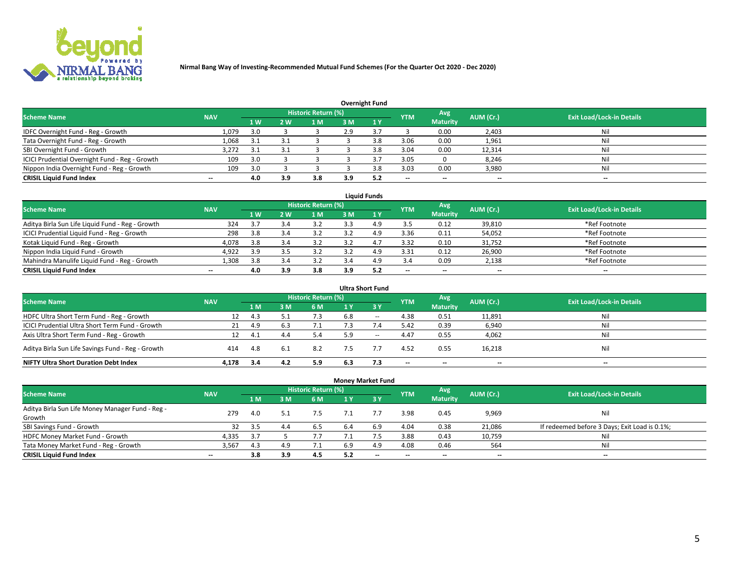

| <b>Overnight Fund</b>                          |            |     |     |                            |     |     |            |                 |           |                                  |  |  |  |
|------------------------------------------------|------------|-----|-----|----------------------------|-----|-----|------------|-----------------|-----------|----------------------------------|--|--|--|
| <b>Scheme Name</b>                             | <b>NAV</b> |     |     | <b>Historic Return (%)</b> |     |     | <b>YTM</b> | Avg             | AUM (Cr.) | <b>Exit Load/Lock-in Details</b> |  |  |  |
|                                                |            | 1 W | 2 W | 1 M                        | 3M  |     |            | <b>Maturity</b> |           |                                  |  |  |  |
| IDFC Overnight Fund - Reg - Growth             | 1,079      | 3.0 |     |                            | 2.9 |     |            | 0.00            | 2,403     | Nil                              |  |  |  |
| Tata Overnight Fund - Reg - Growth             | 1,068      | 3.1 |     |                            |     | 3.8 | 3.06       | 0.00            | 1,961     | Nil                              |  |  |  |
| SBI Overnight Fund - Growth                    | 3,272      | 3.1 |     |                            |     | 3.ጸ | 3.04       | 0.00            | 12,314    | Nil                              |  |  |  |
| ICICI Prudential Overnight Fund - Reg - Growth | 109        | 3.0 |     |                            |     |     | 3.05       |                 | 8,246     | Nil                              |  |  |  |
| Nippon India Overnight Fund - Reg - Growth     | 109        | 3.0 |     |                            |     | 3 R | 3.03       | 0.00            | 3,980     | Nil                              |  |  |  |
| <b>CRISIL Liquid Fund Index</b>                | $-$        | 4.0 | 3.9 | 3.8                        | 3.9 | 5.2 | $-$        | $- -$           | $- -$     | $- -$                            |  |  |  |

| <b>Liquid Funds</b>                              |                          |                |                |                            |     |              |            |                          |                          |                                  |  |  |  |  |
|--------------------------------------------------|--------------------------|----------------|----------------|----------------------------|-----|--------------|------------|--------------------------|--------------------------|----------------------------------|--|--|--|--|
| <b>Scheme Name</b>                               | <b>NAV</b>               |                |                | <b>Historic Return (%)</b> |     |              | <b>YTM</b> | Avg                      | AUM (Cr.)                | <b>Exit Load/Lock-in Details</b> |  |  |  |  |
|                                                  |                          | 1 <sub>W</sub> | 2 <sub>w</sub> | 1 M                        | 3 M | $\sqrt{1}$ Y |            | <b>Maturity</b>          |                          |                                  |  |  |  |  |
| Aditya Birla Sun Life Liquid Fund - Reg - Growth | 324                      | 3.7            | 3.4            |                            |     | 4.9          | 3.5        | 0.12                     | 39,810                   | *Ref Footnote                    |  |  |  |  |
| ICICI Prudential Liquid Fund - Reg - Growth      | 298                      | 3.8            |                |                            |     | 4.9          | 3.36       | 0.11                     | 54,052                   | *Ref Footnote                    |  |  |  |  |
| Kotak Liquid Fund - Reg - Growth                 | 4,078                    | 3.8            | 3.4            |                            |     | 4.7          | 3.32       | 0.10                     | 31,752                   | *Ref Footnote                    |  |  |  |  |
| Nippon India Liquid Fund - Growth                | 4,922                    | 3.9            | 3.5            |                            |     | 4.9          | 3.31       | 0.12                     | 26,900                   | *Ref Footnote                    |  |  |  |  |
| Mahindra Manulife Liquid Fund - Reg - Growth     | 1.308                    | 3.8            | 3.4            | 3.2                        | 3.4 | 4.9          | 3.4        | 0.09                     | 2,138                    | *Ref Footnote                    |  |  |  |  |
| <b>CRISIL Liquid Fund Index</b>                  | $\overline{\phantom{a}}$ | 4.0            | 3.9            | 3.8                        | 3.9 | 5.2          | --         | $\overline{\phantom{a}}$ | $\overline{\phantom{a}}$ | $-$                              |  |  |  |  |

|                                                   |            |      |     |                     |     | <b>Ultra Short Fund</b> |                          |                          |           |                                  |
|---------------------------------------------------|------------|------|-----|---------------------|-----|-------------------------|--------------------------|--------------------------|-----------|----------------------------------|
| <b>Scheme Name</b>                                | <b>NAV</b> |      |     | Historic Return (%) |     |                         | <b>YTM</b>               | Avg                      | AUM (Cr.) | <b>Exit Load/Lock-in Details</b> |
|                                                   |            | 1 M  | sм  | 6 M                 | 1 Y | $\sqrt{3}$ Y            |                          | <b>Maturity</b>          |           |                                  |
| HDFC Ultra Short Term Fund - Reg - Growth         | 12         | 4.3  |     | 7.3                 | 6.8 | $\sim$                  | 4.38                     | 0.51                     | 11,891    | Nil                              |
| ICICI Prudential Ultra Short Term Fund - Growth   | 21         | 4.9  | 6.3 | $\overline{1}$ .    |     | 7.4                     | 5.42                     | 0.39                     | 6,940     | Nil                              |
| Axis Ultra Short Term Fund - Reg - Growth         |            | -4.1 | 4.4 | 5.4                 | 5.9 | $- -$                   | 4.47                     | 0.55                     | 4,062     | Nil                              |
| Aditya Birla Sun Life Savings Fund - Reg - Growth | 414        | 4.8  | 6.1 | 8.2                 | 7.5 |                         | 4.52                     | 0.55                     | 16,218    | Nil                              |
| <b>NIFTY Ultra Short Duration Debt Index</b>      | 4.178      | 3.4  | 4.2 | 5.9                 | 6.3 | 7.3                     | $\overline{\phantom{a}}$ | $\overline{\phantom{a}}$ | $- -$     | $-$                              |

| <b>Money Market Fund</b>                         |                          |     |     |                            |      |                               |            |                          |                          |                                               |  |  |  |  |
|--------------------------------------------------|--------------------------|-----|-----|----------------------------|------|-------------------------------|------------|--------------------------|--------------------------|-----------------------------------------------|--|--|--|--|
| <b>Scheme Name</b>                               | <b>NAV</b>               |     |     | <b>Historic Return (%)</b> |      |                               | <b>YTM</b> | Avg                      | AUM (Cr.)                | <b>Exit Load/Lock-in Details</b>              |  |  |  |  |
|                                                  |                          | 1 M | ١M  | 6 M                        | 1 Y  | $\overline{3}$ $\overline{Y}$ |            | <b>Maturity</b>          |                          |                                               |  |  |  |  |
| Aditya Birla Sun Life Money Manager Fund - Reg - | 279                      | 4.0 |     | 7.5                        |      |                               | 3.98       | 0.45                     | 9,969                    | Nil                                           |  |  |  |  |
| Growth                                           |                          |     |     |                            |      |                               |            |                          |                          |                                               |  |  |  |  |
| SBI Savings Fund - Growth                        | 32                       | 3.5 | 4.4 | 6.5                        | 6.4  | 6.9                           | 4.04       | 0.38                     | 21,086                   | If redeemed before 3 Days; Exit Load is 0.1%; |  |  |  |  |
| HDFC Money Market Fund - Growth                  | 4,335                    | 3.7 |     | 7.7                        | 7. L |                               | 3.88       | 0.43                     | 10,759                   | Nil                                           |  |  |  |  |
| Tata Money Market Fund - Reg - Growth            | 3,567                    | 4.3 | 4.9 | 7.1                        | 6.9  | 4.9                           | 4.08       | 0.46                     | 564                      | Nil                                           |  |  |  |  |
| <b>CRISIL Liquid Fund Index</b>                  | $\overline{\phantom{a}}$ | 3.8 | 3.9 | 4.5                        | 5.2  | $- -$                         | --         | $\overline{\phantom{a}}$ | $\overline{\phantom{a}}$ | $\overline{\phantom{a}}$                      |  |  |  |  |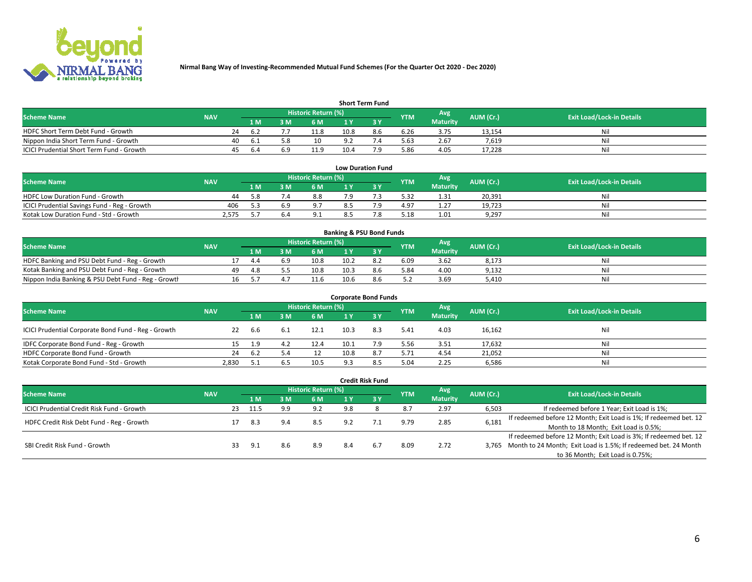

| <b>Short Term Fund</b>                    |            |    |      |     |                            |      |     |            |                 |           |                                  |  |  |  |
|-------------------------------------------|------------|----|------|-----|----------------------------|------|-----|------------|-----------------|-----------|----------------------------------|--|--|--|
| <b>Scheme Name</b>                        | <b>NAV</b> |    |      |     | <b>Historic Return (%)</b> |      |     | <b>YTM</b> | Avg             | AUM (Cr.) | <b>Exit Load/Lock-in Details</b> |  |  |  |
|                                           |            |    | 1 M. | 3 M | 6 M                        | 1 V  |     |            | <b>Maturity</b> |           |                                  |  |  |  |
| HDFC Short Term Debt Fund - Growth        |            | 24 | -67  | - - | 11.8                       | 10.8 | 8.6 | 6.26       | 3.75            | 13,154    | Nil                              |  |  |  |
| Nippon India Short Term Fund - Growth     |            | 40 | -6.1 |     | 10                         |      |     | 5.63       | 2.67            | 7.619     | Nil                              |  |  |  |
| ICICI Prudential Short Term Fund - Growth |            | 45 | h.4  |     | 11.9                       | 10.4 | ہ 7 | 5.86       | 4.05            | 17.228    | Nil                              |  |  |  |

| <b>Low Duration Fund</b>                     |            |     |  |                                  |     |  |            |                 |           |                                  |  |  |  |  |
|----------------------------------------------|------------|-----|--|----------------------------------|-----|--|------------|-----------------|-----------|----------------------------------|--|--|--|--|
| <b>Scheme Name</b>                           | <b>NAV</b> |     |  | Historic Return (%) <sup> </sup> |     |  | <b>YTM</b> | Avg             | AUM (Cr.) | <b>Exit Load/Lock-in Details</b> |  |  |  |  |
|                                              |            | 1 M |  | <b>6M</b>                        |     |  |            | <b>Maturity</b> |           |                                  |  |  |  |  |
| HDFC Low Duration Fund - Growth              | 44         | 58  |  | 8.8                              | ہ 7 |  | 5.32       | 1.31            | 20.391    | Nil                              |  |  |  |  |
| ICICI Prudential Savings Fund - Reg - Growth | 406        |     |  | 9.7                              |     |  | 4.97       | 1.27            | 19,723    | Nil                              |  |  |  |  |
| Kotak Low Duration Fund - Std - Growth       | 2,575      |     |  | 9.1                              |     |  | 5.18       | 1.01            | 9,297     | Nil                              |  |  |  |  |

| <b>Banking &amp; PSU Bond Funds</b>                 |            |    |     |     |                            |      |     |            |                 |           |                                  |  |  |  |
|-----------------------------------------------------|------------|----|-----|-----|----------------------------|------|-----|------------|-----------------|-----------|----------------------------------|--|--|--|
| <b>Scheme Name</b>                                  | <b>NAV</b> |    |     |     | <b>Historic Return (%)</b> |      |     | <b>YTM</b> | Avg             | AUM (Cr.) | <b>Exit Load/Lock-in Details</b> |  |  |  |
|                                                     |            |    | 1 M | ιм  | 6 M                        |      |     |            | <b>Maturity</b> |           |                                  |  |  |  |
| HDFC Banking and PSU Debt Fund - Reg - Growth       |            |    | 4.4 | b.9 | 10.8                       | 10.2 |     | 6.09       | 3.62            | 8,173     | Nil                              |  |  |  |
| Kotak Banking and PSU Debt Fund - Reg - Growth      |            | 49 | 4.8 |     | 10.8                       | 10.3 | 8.6 | 5.84       | 4.00            | 9,132     | Nil                              |  |  |  |
| Nippon India Banking & PSU Debt Fund - Reg - Growth |            | 16 |     |     | 11.6                       | 10.6 | 8.6 | 5.2        | 3.69            | 5.410     | Nil                              |  |  |  |

| <b>Corporate Bond Funds</b>                         |            |      |                     |      |      |     |            |                 |           |                                  |  |
|-----------------------------------------------------|------------|------|---------------------|------|------|-----|------------|-----------------|-----------|----------------------------------|--|
| <b>Scheme Name</b>                                  | <b>NAV</b> |      | Historic Return (%) |      |      |     |            | Avg             | AUM (Cr.) | <b>Exit Load/Lock-in Details</b> |  |
|                                                     |            | 1 M  | l M                 | 6 M  | 1 Y  |     | <b>YTM</b> | <b>Maturity</b> |           |                                  |  |
| ICICI Prudential Corporate Bond Fund - Reg - Growth | 22         | 6.6  | 6.1                 | 12.1 | 10.3 | 8.3 | 5.41       | 4.03            | 16,162    | Nil                              |  |
| IDFC Corporate Bond Fund - Reg - Growth             |            | 1.9  | 4.2                 | 12.4 | 10.1 |     | 5.56       | 3.51            | 17,632    | Nil                              |  |
| HDFC Corporate Bond Fund - Growth                   | 24         | 6.2  | 5.4                 | 12   | 10.8 | 8.7 | 5.71       | 4.54            | 21,052    | Nil                              |  |
| Kotak Corporate Bond Fund - Std - Growth            | 2.830      | -5.1 | b.5                 | 10.5 | Q3   | 8.5 | 5.04       | 2.25            | 6,586     | Nil                              |  |

|                                            |            |    |      |     |                     |     | <b>Credit Risk Fund</b> |            |                        |           |                                                                       |
|--------------------------------------------|------------|----|------|-----|---------------------|-----|-------------------------|------------|------------------------|-----------|-----------------------------------------------------------------------|
| <b>Scheme Name</b>                         | <b>NAV</b> |    |      |     | Historic Return (%) |     |                         | <b>YTM</b> | Avg<br><b>Maturity</b> | AUM (Cr.) | <b>Exit Load/Lock-in Details</b>                                      |
|                                            |            |    | 1 M  | 3 M | 6 M                 |     | '3V                     |            |                        |           |                                                                       |
| ICICI Prudential Credit Risk Fund - Growth |            | 23 | 11.5 | 9.9 | 9.2                 | 9.8 |                         | 8.7        | 2.97                   | 6,503     | If redeemed before 1 Year; Exit Load is 1%;                           |
| HDFC Credit Risk Debt Fund - Reg - Growth  |            |    | 8.3  | 9.4 | 8.5                 | 9.2 |                         | 9.79       | 2.85                   | 6,181     | If redeemed before 12 Month; Exit Load is 1%; If redeemed bet. 12     |
|                                            |            |    |      |     |                     |     |                         |            |                        |           | Month to 18 Month; Exit Load is 0.5%;                                 |
| SBI Credit Risk Fund - Growth              |            |    |      |     |                     |     |                         |            |                        |           | If redeemed before 12 Month; Exit Load is 3%; If redeemed bet. 12     |
|                                            |            | 33 | 9.1  | 8.6 | 8.9                 | 8.4 | 6.7                     | 8.09       | 2.72                   |           | 3,765 Month to 24 Month; Exit Load is 1.5%; If redeemed bet. 24 Month |
|                                            |            |    |      |     |                     |     |                         |            |                        |           | to 36 Month; Exit Load is 0.75%;                                      |